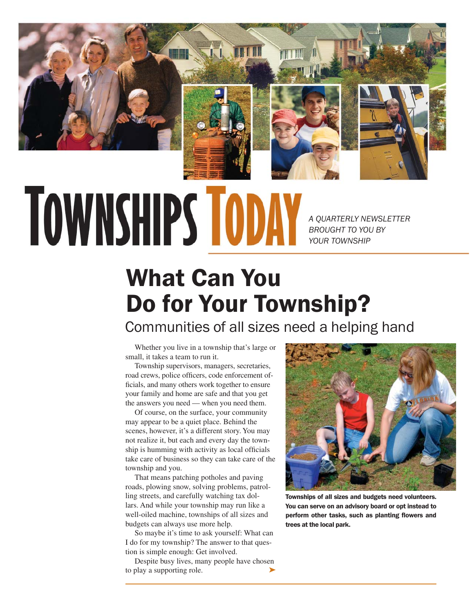

# **TOWNSHIPS TODAY**

*A QUARTERLY NEWSLETTER BROUGHT TO YOU BY YOUR TOWNSHIP*

## What Can You Do for Your Township?

Communities of all sizes need a helping hand

Whether you live in a township that's large or small, it takes a team to run it.

Township supervisors, managers, secretaries, road crews, police officers, code enforcement officials, and many others work together to ensure your family and home are safe and that you get the answers you need — when you need them.

Of course, on the surface, your community may appear to be a quiet place. Behind the scenes, however, it's a different story. You may not realize it, but each and every day the township is humming with activity as local officials take care of business so they can take care of the township and you.

That means patching potholes and paving roads, plowing snow, solving problems, patrolling streets, and carefully watching tax dollars. And while your township may run like a well-oiled machine, townships of all sizes and budgets can always use more help.

So maybe it's time to ask yourself: What can I do for my township? The answer to that question is simple enough: Get involved.

Despite busy lives, many people have chosen to play a supporting role. ➤



Townships of all sizes and budgets need volunteers. You can serve on an advisory board or opt instead to perform other tasks, such as planting flowers and trees at the local park.